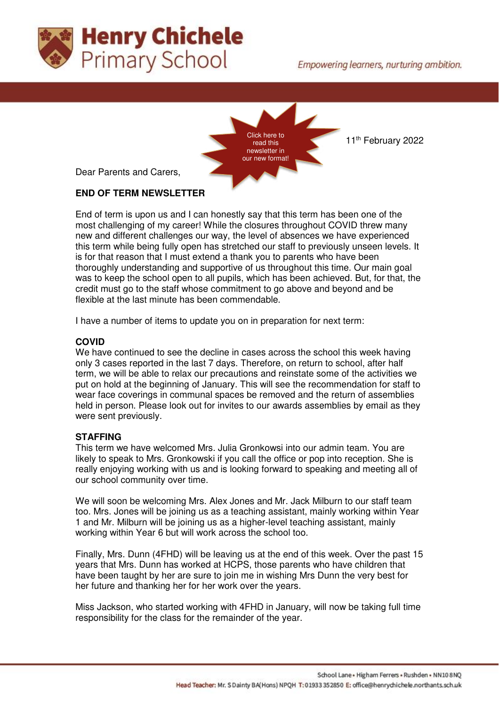



11<sup>th</sup> February 2022

Dear Parents and Carers,

# **END OF TERM NEWSLETTER**

End of term is upon us and I can honestly say that this term has been one of the most challenging of my career! While the closures throughout COVID threw many new and different challenges our way, the level of absences we have experienced this term while being fully open has stretched our staff to previously unseen levels. It is for that reason that I must extend a thank you to parents who have been thoroughly understanding and supportive of us throughout this time. Our main goal was to keep the school open to all pupils, which has been achieved. But, for that, the credit must go to the staff whose commitment to go above and beyond and be flexible at the last minute has been commendable.

I have a number of items to update you on in preparation for next term:

### **COVID**

We have continued to see the decline in cases across the school this week having only 3 cases reported in the last 7 days. Therefore, on return to school, after half term, we will be able to relax our precautions and reinstate some of the activities we put on hold at the beginning of January. This will see the recommendation for staff to wear face coverings in communal spaces be removed and the return of assemblies held in person. Please look out for invites to our awards assemblies by email as they were sent previously.

## **STAFFING**

This term we have welcomed Mrs. Julia Gronkowsi into our admin team. You are likely to speak to Mrs. Gronkowski if you call the office or pop into reception. She is really enjoying working with us and is looking forward to speaking and meeting all of our school community over time.

We will soon be welcoming Mrs. Alex Jones and Mr. Jack Milburn to our staff team too. Mrs. Jones will be joining us as a teaching assistant, mainly working within Year 1 and Mr. Milburn will be joining us as a higher-level teaching assistant, mainly working within Year 6 but will work across the school too.

Finally, Mrs. Dunn (4FHD) will be leaving us at the end of this week. Over the past 15 years that Mrs. Dunn has worked at HCPS, those parents who have children that have been taught by her are sure to join me in wishing Mrs Dunn the very best for her future and thanking her for her work over the years.

Miss Jackson, who started working with 4FHD in January, will now be taking full time responsibility for the class for the remainder of the year.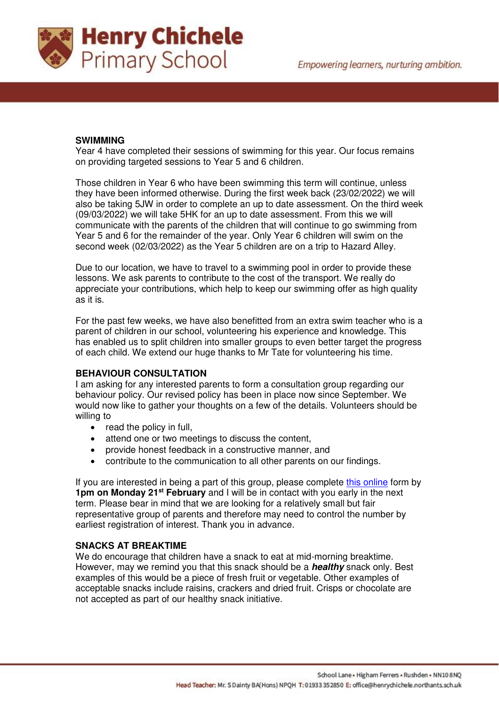

### **SWIMMING**

Year 4 have completed their sessions of swimming for this year. Our focus remains on providing targeted sessions to Year 5 and 6 children.

Those children in Year 6 who have been swimming this term will continue, unless they have been informed otherwise. During the first week back (23/02/2022) we will also be taking 5JW in order to complete an up to date assessment. On the third week (09/03/2022) we will take 5HK for an up to date assessment. From this we will communicate with the parents of the children that will continue to go swimming from Year 5 and 6 for the remainder of the year. Only Year 6 children will swim on the second week (02/03/2022) as the Year 5 children are on a trip to Hazard Alley.

Due to our location, we have to travel to a swimming pool in order to provide these lessons. We ask parents to contribute to the cost of the transport. We really do appreciate your contributions, which help to keep our swimming offer as high quality as it is.

For the past few weeks, we have also benefitted from an extra swim teacher who is a parent of children in our school, volunteering his experience and knowledge. This has enabled us to split children into smaller groups to even better target the progress of each child. We extend our huge thanks to Mr Tate for volunteering his time.

### **BEHAVIOUR CONSULTATION**

I am asking for any interested parents to form a consultation group regarding our behaviour policy. Our revised policy has been in place now since September. We would now like to gather your thoughts on a few of the details. Volunteers should be willing to

- read the policy in full,
- attend one or two meetings to discuss the content,
- provide honest feedback in a constructive manner, and
- contribute to the communication to all other parents on our findings.

If you are interested in being a part of this group, please complete [this online](https://forms.office.com/r/bKhnk5bTF4) form by **1pm on Monday 21st February** and I will be in contact with you early in the next term. Please bear in mind that we are looking for a relatively small but fair representative group of parents and therefore may need to control the number by earliest registration of interest. Thank you in advance.

### **SNACKS AT BREAKTIME**

We do encourage that children have a snack to eat at mid-morning breaktime. However, may we remind you that this snack should be a **healthy** snack only. Best examples of this would be a piece of fresh fruit or vegetable. Other examples of acceptable snacks include raisins, crackers and dried fruit. Crisps or chocolate are not accepted as part of our healthy snack initiative.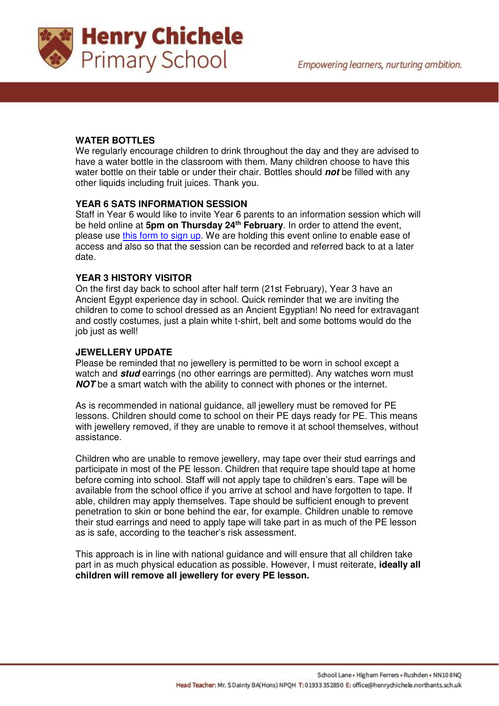

## **WATER BOTTLES**

We regularly encourage children to drink throughout the day and they are advised to have a water bottle in the classroom with them. Many children choose to have this water bottle on their table or under their chair. Bottles should **not** be filled with any other liquids including fruit juices. Thank you.

### **YEAR 6 SATS INFORMATION SESSION**

Staff in Year 6 would like to invite Year 6 parents to an information session which will be held online at **5pm on Thursday 24th February**. In order to attend the event, please use [this form to sign up.](https://forms.office.com/r/TUnPNFC8E4) We are holding this event online to enable ease of access and also so that the session can be recorded and referred back to at a later date.

### **YEAR 3 HISTORY VISITOR**

On the first day back to school after half term (21st February), Year 3 have an Ancient Egypt experience day in school. Quick reminder that we are inviting the children to come to school dressed as an Ancient Egyptian! No need for extravagant and costly costumes, just a plain white t-shirt, belt and some bottoms would do the job just as well!

### **JEWELLERY UPDATE**

Please be reminded that no jewellery is permitted to be worn in school except a watch and **stud** earrings (no other earrings are permitted). Any watches worn must **NOT** be a smart watch with the ability to connect with phones or the internet.

As is recommended in national guidance, all jewellery must be removed for PE lessons. Children should come to school on their PE days ready for PE. This means with jewellery removed, if they are unable to remove it at school themselves, without assistance.

Children who are unable to remove jewellery, may tape over their stud earrings and participate in most of the PE lesson. Children that require tape should tape at home before coming into school. Staff will not apply tape to children's ears. Tape will be available from the school office if you arrive at school and have forgotten to tape. If able, children may apply themselves. Tape should be sufficient enough to prevent penetration to skin or bone behind the ear, for example. Children unable to remove their stud earrings and need to apply tape will take part in as much of the PE lesson as is safe, according to the teacher's risk assessment.

This approach is in line with national guidance and will ensure that all children take part in as much physical education as possible. However, I must reiterate, **ideally all children will remove all jewellery for every PE lesson.**